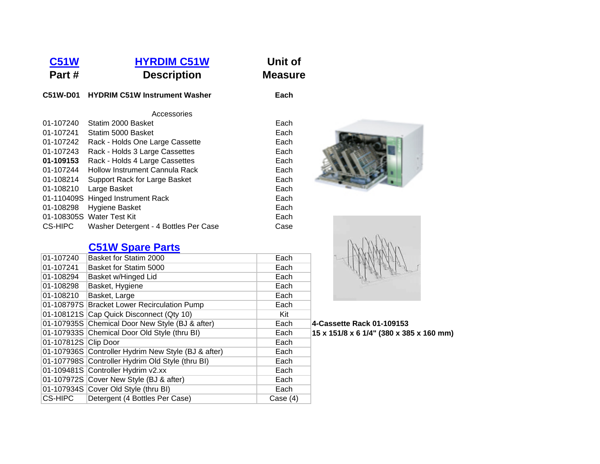## **[C51W](http://www.hydrim-washer-decontaminator-disinfector.com/index.html) [HYRDIM C51W](http://www.hydrim-washer-decontaminator-disinfector.com/index.html) Unit of Part #Description Measure**

#### **C51W-D01 HYDRIM C51W Instrument Washer Each**

### Accessories

| Statim 2000 Basket                    | Each |
|---------------------------------------|------|
| Statim 5000 Basket                    | Each |
| Rack - Holds One Large Cassette       | Each |
| Rack - Holds 3 Large Cassettes        | Each |
| Rack - Holds 4 Large Cassettes        | Each |
| Hollow Instrument Cannula Rack        | Each |
| Support Rack for Large Basket         | Each |
| Large Basket                          | Each |
| 01-110409S Hinged Instrument Rack     | Each |
| Hygiene Basket                        | Each |
| 01-108305S Water Test Kit             | Each |
| Washer Detergent - 4 Bottles Per Case | Case |
|                                       |      |

# **[C51W Spare Parts](http://www.hydrim-washer-decontaminator-disinfector.com/index.html)**

| 01-107240            | Basket for Statim 2000                              | Each       |
|----------------------|-----------------------------------------------------|------------|
| 01-107241            | Basket for Statim 5000                              | Each       |
| 01-108294            | Basket w/Hinged Lid                                 | Each       |
| 01-108298            | Basket, Hygiene                                     | Each       |
| 01-108210            | Basket, Large                                       | Each       |
|                      | 01-108797S Bracket Lower Recirculation Pump         | Each       |
|                      | 01-108121S Cap Quick Disconnect (Qty 10)            | Kit        |
|                      | 01-107935S Chemical Door New Style (BJ & after)     | Each       |
|                      | 01-107933S Chemical Door Old Style (thru BI)        | Each       |
| 01-107812S Clip Door |                                                     | Each       |
|                      | 01-107936S Controller Hydrim New Style (BJ & after) | Each       |
|                      | 01-107798S Controller Hydrim Old Style (thru BI)    | Each       |
|                      | 01-109481S Controller Hydrim v2.xx                  | Each       |
|                      | 01-107972S Cover New Style (BJ & after)             | Each       |
|                      | 01-107934S Cover Old Style (thru BI)                | Each       |
| <b>CS-HIPC</b>       | Detergent (4 Bottles Per Case)                      | Case $(4)$ |
|                      |                                                     |            |





## Chemical Door New Style (BJ & after) Each **4-Cassette Rack 01-109153**  Chemical Door Old Style (thru BI) Each **15 x 151/8 x 6 1/4" (380 x 385 x 160 mm)**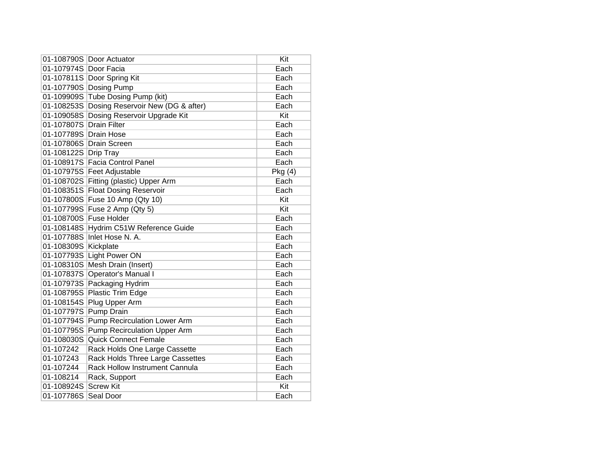|                       | 01-108790S Door Actuator            | Kit    |
|-----------------------|-------------------------------------|--------|
| 01-107974S Door Facia |                                     | Each   |
|                       | 01-107811S Door Spring Kit          | Each   |
| 01-107790S            | <b>Dosing Pump</b>                  | Each   |
| 01-109909S            | <b>Tube Dosing Pump (kit)</b>       | Each   |
| 01-108253S            | Dosing Reservoir New (DG & after)   | Each   |
| 01-109058S            | Dosing Reservoir Upgrade Kit        | Kit    |
| 01-107807S            | <b>Drain Filter</b>                 | Each   |
| 01-107789S Drain Hose |                                     | Each   |
|                       | 01-107806S Drain Screen             | Each   |
| 01-108122S Drip Tray  |                                     | Each   |
|                       | 01-108917S Facia Control Panel      | Each   |
|                       | 01-107975S Feet Adjustable          | Pkg(4) |
| 01-108702S            | Fitting (plastic) Upper Arm         | Each   |
| 01-108351S            | <b>Float Dosing Reservoir</b>       | Each   |
| 01-107800S            | Fuse 10 Amp (Qty 10)                | Kit    |
| 01-107799S            | Fuse 2 Amp (Qty 5)                  | Kit    |
|                       | 01-108700S Fuse Holder              | Each   |
| 01-108148S            | Hydrim C51W Reference Guide         | Each   |
|                       | 01-107788S Inlet Hose N. A.         | Each   |
| 01-108309S            | Kickplate                           | Each   |
| 01-107793S            | <b>Light Power ON</b>               | Each   |
| 01-108310S            | Mesh Drain (Insert)                 | Each   |
| 01-107837S            | <b>Operator's Manual I</b>          | Each   |
| 01-107973S            | Packaging Hydrim                    | Each   |
| 01-108795S            | Plastic Trim Edge                   | Each   |
| 01-108154S            | Plug Upper Arm                      | Each   |
| 01-107797S            | Pump Drain                          | Each   |
| 01-107794S            | <b>Pump Recirculation Lower Arm</b> | Each   |
| 01-107795S            | <b>Pump Recirculation Upper Arm</b> | Each   |
| 01-108030S            | <b>Quick Connect Female</b>         | Each   |
| 01-107242             | Rack Holds One Large Cassette       | Each   |
| 01-107243             | Rack Holds Three Large Cassettes    | Each   |
| 01-107244             | Rack Hollow Instrument Cannula      | Each   |
| 01-108214             | Rack, Support                       | Each   |
| 01-108924S            | <b>Screw Kit</b>                    | Kit    |
| 01-107786S            | Seal Door                           | Each   |